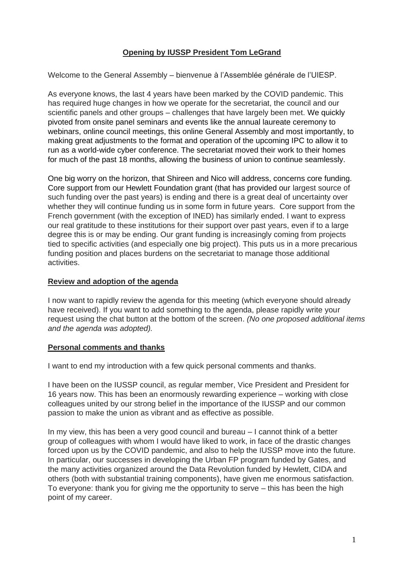## **Opening by IUSSP President Tom LeGrand**

Welcome to the General Assembly – bienvenue à l'Assemblée générale de l'UIESP.

As everyone knows, the last 4 years have been marked by the COVID pandemic. This has required huge changes in how we operate for the secretariat, the council and our scientific panels and other groups – challenges that have largely been met. We quickly pivoted from onsite panel seminars and events like the annual laureate ceremony to webinars, online council meetings, this online General Assembly and most importantly, to making great adjustments to the format and operation of the upcoming IPC to allow it to run as a world-wide cyber conference. The secretariat moved their work to their homes for much of the past 18 months, allowing the business of union to continue seamlessly.

One big worry on the horizon, that Shireen and Nico will address, concerns core funding. Core support from our Hewlett Foundation grant (that has provided our largest source of such funding over the past years) is ending and there is a great deal of uncertainty over whether they will continue funding us in some form in future years. Core support from the French government (with the exception of INED) has similarly ended. I want to express our real gratitude to these institutions for their support over past years, even if to a large degree this is or may be ending. Our grant funding is increasingly coming from projects tied to specific activities (and especially one big project). This puts us in a more precarious funding position and places burdens on the secretariat to manage those additional activities.

## **Review and adoption of the agenda**

I now want to rapidly review the agenda for this meeting (which everyone should already have received). If you want to add something to the agenda, please rapidly write your request using the chat button at the bottom of the screen. *(No one proposed additional items and the agenda was adopted).*

## **Personal comments and thanks**

I want to end my introduction with a few quick personal comments and thanks.

I have been on the IUSSP council, as regular member, Vice President and President for 16 years now. This has been an enormously rewarding experience – working with close colleagues united by our strong belief in the importance of the IUSSP and our common passion to make the union as vibrant and as effective as possible.

In my view, this has been a very good council and bureau – I cannot think of a better group of colleagues with whom I would have liked to work, in face of the drastic changes forced upon us by the COVID pandemic, and also to help the IUSSP move into the future. In particular, our successes in developing the Urban FP program funded by Gates, and the many activities organized around the Data Revolution funded by Hewlett, CIDA and others (both with substantial training components), have given me enormous satisfaction. To everyone: thank you for giving me the opportunity to serve – this has been the high point of my career.